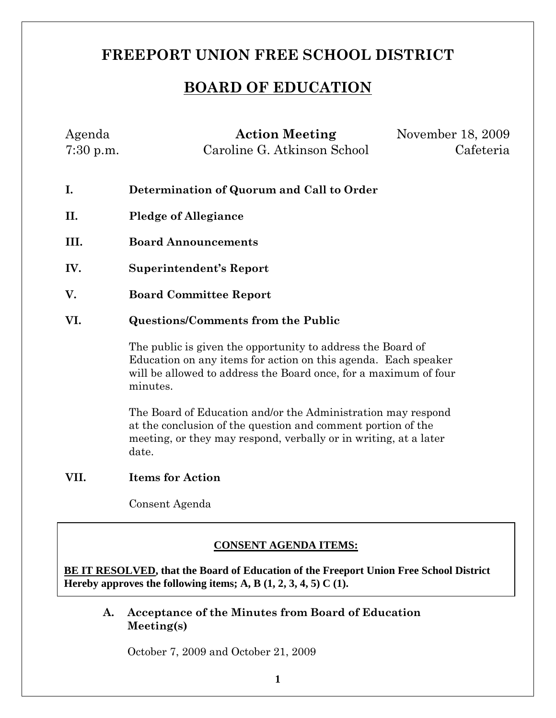# **FREEPORT UNION FREE SCHOOL DISTRICT**

# **BOARD OF EDUCATION**

| Agenda      | <b>Action Meeting</b>                                                        | November 18, 2009 |  |
|-------------|------------------------------------------------------------------------------|-------------------|--|
| $7:30$ p.m. | Caroline G. Atkinson School                                                  | Cafeteria         |  |
|             |                                                                              |                   |  |
| I.          | Determination of Quorum and Call to Order                                    |                   |  |
| II.         | <b>Pledge of Allegiance</b>                                                  |                   |  |
| III.        | <b>Board Announcements</b>                                                   |                   |  |
| IV.         | <b>Superintendent's Report</b>                                               |                   |  |
| V.          | <b>Board Committee Report</b>                                                |                   |  |
| VI.         | <b>Questions/Comments from the Public</b>                                    |                   |  |
|             | The public is given the opportunity to address the Board of                  |                   |  |
|             | Education on any items for action on this agenda. Each speaker               |                   |  |
|             | will be allowed to address the Board once, for a maximum of four<br>minutes. |                   |  |
|             | The Board of Education and/or the Administration may respond                 |                   |  |
|             | of the conclusion of the question and comment perties of the                 |                   |  |

at the conclusion of the question and comment portion of the meeting, or they may respond, verbally or in writing, at a later date.

## **VII. Items for Action**

Consent Agenda

## **CONSENT AGENDA ITEMS:**

**BE IT RESOLVED, that the Board of Education of the Freeport Union Free School District Hereby approves the following items; A, B (1, 2, 3, 4, 5) C (1).**

**A. Acceptance of the Minutes from Board of Education Meeting(s)**

October 7, 2009 and October 21, 2009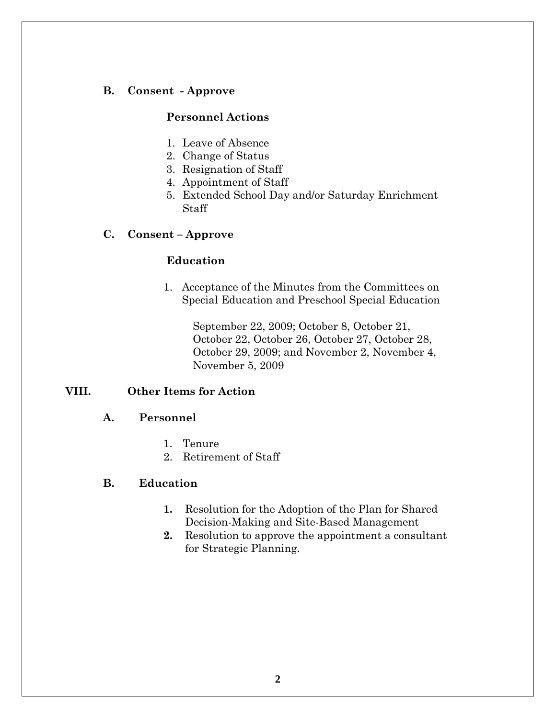## **B. Consent - Approve**

## **Personnel Actions**

- 1. Leave of Absence
- 2. Change of Status
- 3. Resignation of Staff
- 4. Appointment of Staff
- 5. Extended School Day and/or Saturday Enrichment Staff

#### **C. Consent – Approve**

#### **Education**

1. Acceptance of the Minutes from the Committees on Special Education and Preschool Special Education

> September 22, 2009; October 8, October 21, October 22, October 26, October 27, October 28, October 29, 2009; and November 2, November 4, November 5, 2009

## **VIII. Other Items for Action**

#### **A. Personnel**

- 1. Tenure
- 2. Retirement of Staff

#### **B. Education**

- **1.** Resolution for the Adoption of the Plan for Shared Decision-Making and Site-Based Management
- **2.** Resolution to approve the appointment a consultant for Strategic Planning.